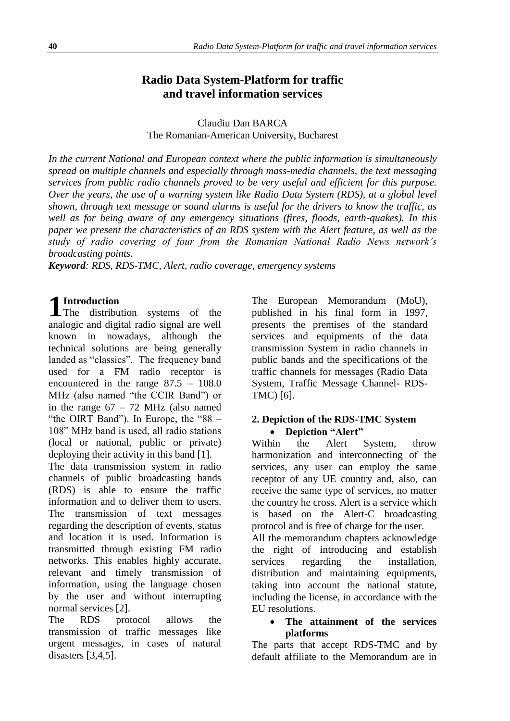# **Radio Data System-Platform for traffic and travel information services**

Claudiu Dan BARCA The Romanian-American University, Bucharest

*In the current National and European context where the public information is simultaneously spread on multiple channels and especially through mass-media channels, the text messaging services from public radio channels proved to be very useful and efficient for this purpose. Over the years, the use of a warning system like Radio Data System (RDS), at a global level shown, through text message or sound alarms is useful for the drivers to know the traffic, as well as for being aware of any emergency situations (fires, floods, earth-quakes). In this paper we present the characteristics of an RDS system with the Alert feature, as well as the study of radio covering of four from the Romanian National Radio News network's broadcasting points.*

*Keyword: RDS, RDS-TMC, Alert, radio coverage, emergency systems*

# **Introduction**

The distribution systems of the analogic and digital radio signal are well known in nowadays, although the technical solutions are being generally landed as "classics". The frequency band used for a FM radio receptor is encountered in the range 87.5 – 108.0 MHz (also named "the CCIR Band") or in the range  $67 - 72$  MHz (also named "the OIRT Band"). In Europe, the "88 -108" MHz band is used, all radio stations (local or national, public or private) deploying their activity in this band [1]. The data transmission system in radio channels of public broadcasting bands (RDS) is able to ensure the traffic information and to deliver them to users. The transmission of text messages regarding the description of events, status and location it is used. Information is transmitted through existing FM radio networks. This enables highly accurate, relevant and timely transmission of information, using the language chosen by the user and without interrupting normal services [2]. **1**

The RDS protocol allows the transmission of traffic messages like urgent messages, in cases of natural disasters [3,4,5].

The European Memorandum (MoU), published in his final form in 1997, presents the premises of the standard services and equipments of the data transmission System in radio channels in public bands and the specifications of the traffic channels for messages (Radio Data System, Traffic Message Channel- RDS-TMC) [6].

### **2. Depiction of the RDS-TMC System Depiction "Alert"**

Within the Alert System, throw harmonization and interconnecting of the services, any user can employ the same receptor of any UE country and, also, can receive the same type of services, no matter the country he cross. Alert is a service which is based on the Alert-C broadcasting protocol and is free of charge for the user.

All the memorandum chapters acknowledge the right of introducing and establish services regarding the installation, distribution and maintaining equipments, taking into account the national statute, including the license, in accordance with the EU resolutions.

### **The attainment of the services platforms**

The parts that accept RDS-TMC and by default affiliate to the Memorandum are in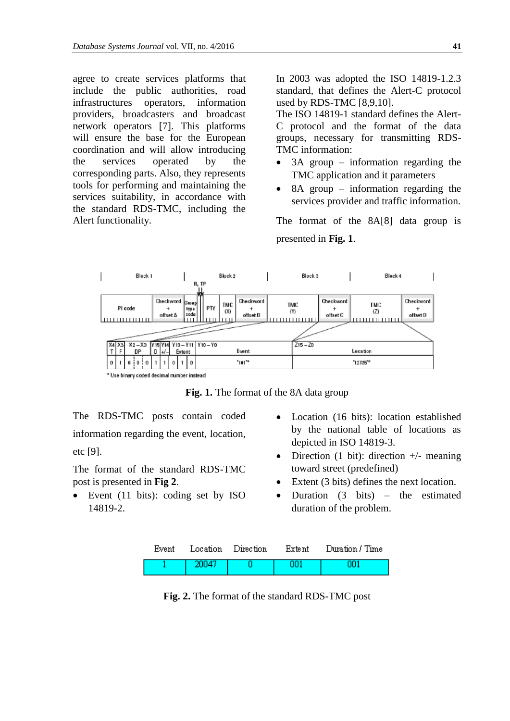agree to create services platforms that include the public authorities, road infrastructures operators, information providers, broadcasters and broadcast network operators [7]. This platforms will ensure the base for the European coordination and will allow introducing the services operated by the corresponding parts. Also, they represents tools for performing and maintaining the services suitability, in accordance with the standard RDS-TMC, including the Alert functionality.

In 2003 was adopted the ISO 14819-1.2.3 standard, that defines the Alert-C protocol used by RDS-TMC [8,9,10].

The ISO 14819-1 standard defines the Alert-C protocol and the format of the data groups, necessary for transmitting RDS-TMC information:

- 3A group information regarding the TMC application and it parameters
- 8A group information regarding the services provider and traffic information.

The format of the 8A[8] data group is presented in **Fig. 1**.



**Fig. 1.** The format of the 8A data group

The RDS-TMC posts contain coded information regarding the event, location, etc [9].

The format of the standard RDS-TMC post is presented in **Fig 2**.

- Event (11 bits): coding set by ISO 14819-2.
- Location (16 bits): location established by the national table of locations as depicted in ISO 14819-3.
- Direction  $(1 \text{ bit})$ : direction  $+/-$  meaning toward street (predefined)
- Extent (3 bits) defines the next location.
- Duration  $(3 \text{ bits})$  the estimated duration of the problem.

|                | Event Location Direction | Extent | Duration / Time |
|----------------|--------------------------|--------|-----------------|
| $\sqrt{20047}$ |                          |        |                 |

**Fig. 2.** The format of the standard RDS-TMC post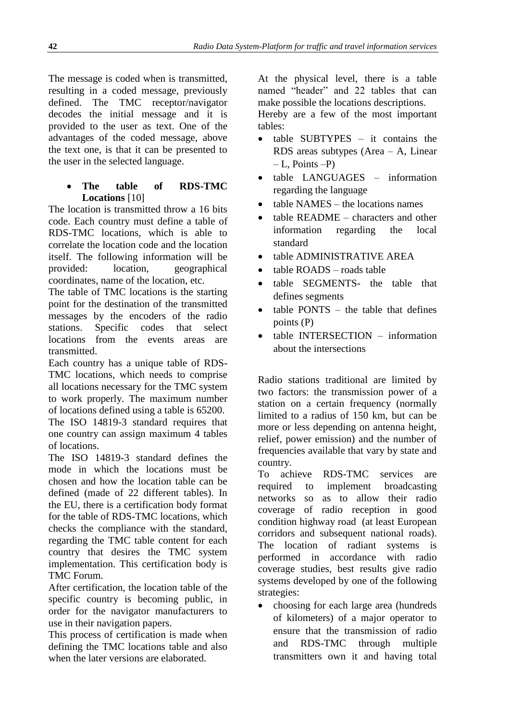The message is coded when is transmitted, resulting in a coded message, previously defined. The TMC receptor/navigator decodes the initial message and it is provided to the user as text. One of the advantages of the coded message, above the text one, is that it can be presented to the user in the selected language.

## **The table of RDS-TMC Locations** [10]

The location is transmitted throw a 16 bits code. Each country must define a table of RDS-TMC locations, which is able to correlate the location code and the location itself. The following information will be provided: location, geographical coordinates, name of the location, etc.

The table of TMC locations is the starting point for the destination of the transmitted messages by the encoders of the radio stations. Specific codes that select locations from the events areas are transmitted.

Each country has a unique table of RDS-TMC locations, which needs to comprise all locations necessary for the TMC system to work properly. The maximum number of locations defined using a table is 65200.

The ISO 14819-3 standard requires that one country can assign maximum 4 tables of locations.

The ISO 14819-3 standard defines the mode in which the locations must be chosen and how the location table can be defined (made of 22 different tables). In the EU, there is a certification body format for the table of RDS-TMC locations, which checks the compliance with the standard, regarding the TMC table content for each country that desires the TMC system implementation. This certification body is TMC Forum.

After certification, the location table of the specific country is becoming public, in order for the navigator manufacturers to use in their navigation papers.

This process of certification is made when defining the TMC locations table and also when the later versions are elaborated.

At the physical level, there is a table named "header" and 22 tables that can make possible the locations descriptions. Hereby are a few of the most important tables:

- table SUBTYPES it contains the RDS areas subtypes (Area – A, Linear  $-L$ , Points  $-P$ )
- table LANGUAGES information regarding the language
- table NAMES the locations names
- table README characters and other information regarding the local standard
- table ADMINISTRATIVE AREA
- table ROADS roads table
- table SEGMENTS- the table that defines segments
- table PONTS the table that defines points (P)
- table INTERSECTION information about the intersections

Radio stations traditional are limited by two factors: the transmission power of a station on a certain frequency (normally limited to a radius of 150 km, but can be more or less depending on antenna height, relief, power emission) and the number of frequencies available that vary by state and country.

To achieve RDS-TMC services are required to implement broadcasting networks so as to allow their radio coverage of radio reception in good condition highway road (at least European corridors and subsequent national roads). The location of radiant systems is performed in accordance with radio coverage studies, best results give radio systems developed by one of the following strategies:

• choosing for each large area (hundreds of kilometers) of a major operator to ensure that the transmission of radio and RDS-TMC through multiple transmitters own it and having total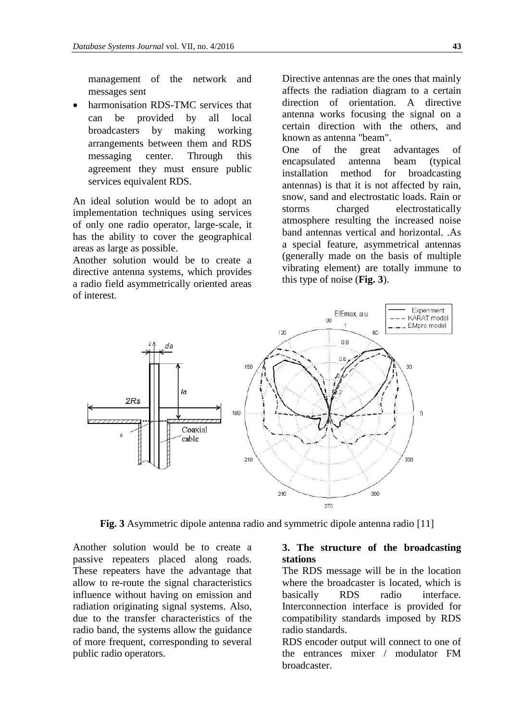management of the network and messages sent

 harmonisation RDS-TMC services that can be provided by all local broadcasters by making working arrangements between them and RDS messaging center. Through this agreement they must ensure public services equivalent RDS.

An ideal solution would be to adopt an implementation techniques using services of only one radio operator, large-scale, it has the ability to cover the geographical areas as large as possible.

Another solution would be to create a directive antenna systems, which provides a radio field asymmetrically oriented areas of interest.

Directive antennas are the ones that mainly affects the radiation diagram to a certain direction of orientation. A directive antenna works focusing the signal on a certain direction with the others, and known as antenna "beam". One of the great advantages of

encapsulated antenna beam (typical installation method for broadcasting antennas) is that it is not affected by rain, snow, sand and electrostatic loads. Rain or storms charged electrostatically atmosphere resulting the increased noise band antennas vertical and horizontal. .As a special feature, asymmetrical antennas (generally made on the basis of multiple vibrating element) are totally immune to this type of noise (**Fig. 3**).



**Fig. 3** Asymmetric dipole antenna radio and symmetric dipole antenna radio [11]

Another solution would be to create a passive repeaters placed along roads. These repeaters have the advantage that allow to re-route the signal characteristics influence without having on emission and radiation originating signal systems. Also, due to the transfer characteristics of the radio band, the systems allow the guidance of more frequent, corresponding to several public radio operators.

#### **3. The structure of the broadcasting stations**

The RDS message will be in the location where the broadcaster is located, which is basically RDS radio interface. Interconnection interface is provided for compatibility standards imposed by RDS radio standards.

RDS encoder output will connect to one of the entrances mixer / modulator FM broadcaster.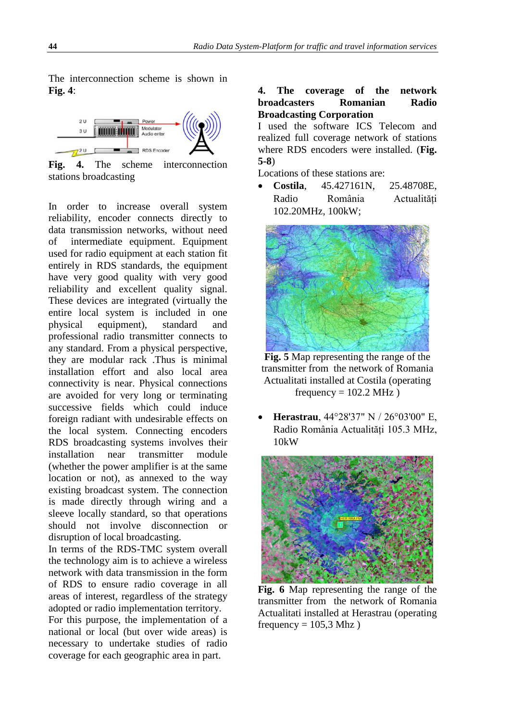The interconnection scheme is shown in **Fig. 4**:



**Fig. 4.** The scheme interconnection stations broadcasting

In order to increase overall system reliability, encoder connects directly to data transmission networks, without need of intermediate equipment. Equipment used for radio equipment at each station fit entirely in RDS standards, the equipment have very good quality with very good reliability and excellent quality signal. These devices are integrated (virtually the entire local system is included in one physical equipment), standard and professional radio transmitter connects to any standard. From a physical perspective, they are modular rack .Thus is minimal installation effort and also local area connectivity is near. Physical connections are avoided for very long or terminating successive fields which could induce foreign radiant with undesirable effects on the local system. Connecting encoders RDS broadcasting systems involves their installation near transmitter module (whether the power amplifier is at the same location or not), as annexed to the way existing broadcast system. The connection is made directly through wiring and a sleeve locally standard, so that operations should not involve disconnection or disruption of local broadcasting.

In terms of the RDS-TMC system overall the technology aim is to achieve a wireless network with data transmission in the form of RDS to ensure radio coverage in all areas of interest, regardless of the strategy adopted or radio implementation territory.

For this purpose, the implementation of a national or local (but over wide areas) is necessary to undertake studies of radio coverage for each geographic area in part.

#### **4. The coverage of the network broadcasters Romanian Radio Broadcasting Corporation**

I used the software ICS Telecom and realized full coverage network of stations where RDS encoders were installed. (**Fig. 5-8**)

Locations of these stations are:

 **Costila**, 45.427161N, 25.48708E, Radio România Actualități 102.20MHz, 100kW;



**Fig. 5** Map representing the range of the transmitter from the network of Romania Actualitati installed at Costila (operating frequency  $= 102.2$  MHz)

 **Herastrau**, 44°28'37" N / 26°03'00" E, Radio România Actualități 105.3 MHz, 10kW



**Fig. 6** Map representing the range of the transmitter from the network of Romania Actualitati installed at Herastrau (operating frequency  $= 105.3$  Mhz)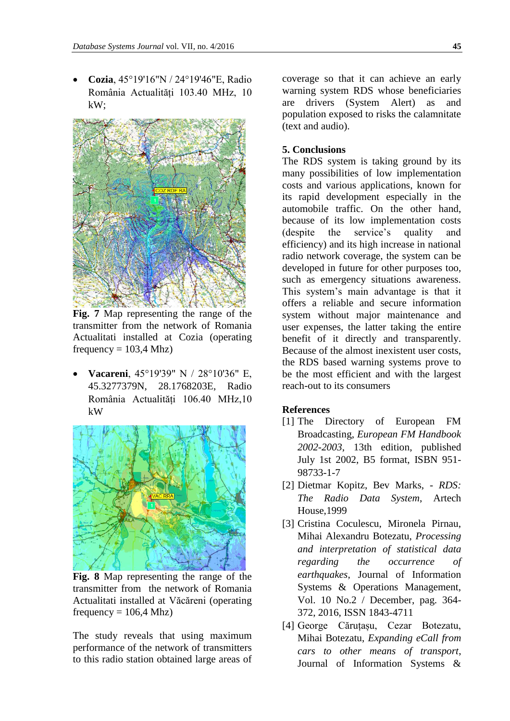**Cozia**, 45°19'16"N / 24°19'46"E, Radio România Actualități 103.40 MHz, 10 kW;



**Fig. 7** Map representing the range of the transmitter from the network of Romania Actualitati installed at Cozia (operating frequency  $= 103,4$  Mhz)

 **Vacareni**, 45°19'39" N / 28°10'36" Е, 45.3277379N, 28.1768203E, Radio România Actualități 106.40 MHz,10 kW



**Fig. 8** Map representing the range of the transmitter from the network of Romania Actualitati installed at Văcăreni (operating frequency  $= 106,4$  Mhz)

The study reveals that using maximum performance of the network of transmitters to this radio station obtained large areas of

coverage so that it can achieve an early warning system RDS whose beneficiaries are drivers (System Alert) as and population exposed to risks the calamnitate (text and audio).

### **5. Conclusions**

The RDS system is taking ground by its many possibilities of low implementation costs and various applications, known for its rapid development especially in the automobile traffic. On the other hand, because of its low implementation costs (despite the service's quality and efficiency) and its high increase in national radio network coverage, the system can be developed in future for other purposes too, such as emergency situations awareness. This system's main advantage is that it offers a reliable and secure information system without major maintenance and user expenses, the latter taking the entire benefit of it directly and transparently. Because of the almost inexistent user costs, the RDS based warning systems prove to be the most efficient and with the largest reach-out to its consumers

#### **References**

- [1] The Directory of European FM Broadcasting, *European FM Handbook 2002-2003*, 13th edition, published July 1st 2002, B5 format, ISBN 951- 98733-1-7
- [2] Dietmar Kopitz, Bev Marks, *RDS: The Radio Data System*, Artech House,1999
- [3] Cristina Coculescu, Mironela Pirnau, Mihai Alexandru Botezatu, *Processing and interpretation of statistical data regarding the occurrence of earthquakes*, Journal of Information Systems & Operations Management, Vol. 10 No.2 / December, pag. 364- 372, 2016, ISSN 1843-4711
- [4] George Căruțașu, Cezar Botezatu, Mihai Botezatu, *Expanding eCall from cars to other means of transport*, Journal of Information Systems &